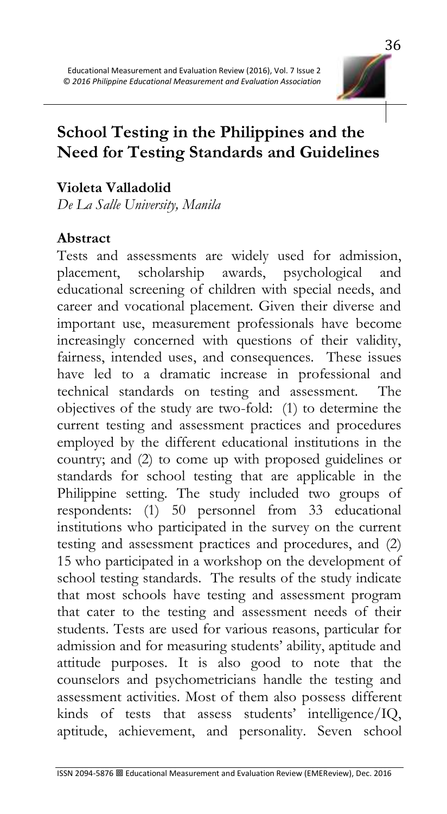

# **School Testing in the Philippines and the Need for Testing Standards and Guidelines**

### **Violeta Valladolid**

*De La Salle University, Manila*

#### **Abstract**

Tests and assessments are widely used for admission, placement, scholarship awards, psychological and educational screening of children with special needs, and career and vocational placement. Given their diverse and important use, measurement professionals have become increasingly concerned with questions of their validity, fairness, intended uses, and consequences. These issues have led to a dramatic increase in professional and technical standards on testing and assessment. The objectives of the study are two-fold: (1) to determine the current testing and assessment practices and procedures employed by the different educational institutions in the country; and (2) to come up with proposed guidelines or standards for school testing that are applicable in the Philippine setting. The study included two groups of respondents: (1) 50 personnel from 33 educational institutions who participated in the survey on the current testing and assessment practices and procedures, and (2) 15 who participated in a workshop on the development of school testing standards. The results of the study indicate that most schools have testing and assessment program that cater to the testing and assessment needs of their students. Tests are used for various reasons, particular for admission and for measuring students' ability, aptitude and attitude purposes. It is also good to note that the counselors and psychometricians handle the testing and assessment activities. Most of them also possess different kinds of tests that assess students' intelligence/IQ, aptitude, achievement, and personality. Seven school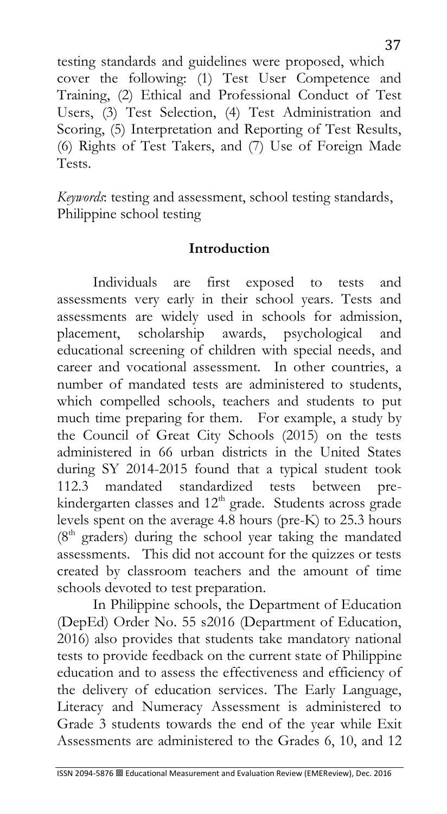testing standards and guidelines were proposed, which cover the following: (1) Test User Competence and Training, (2) Ethical and Professional Conduct of Test Users, (3) Test Selection, (4) Test Administration and Scoring, (5) Interpretation and Reporting of Test Results, (6) Rights of Test Takers, and (7) Use of Foreign Made Tests.

*Keywords*: testing and assessment, school testing standards, Philippine school testing

#### **Introduction**

Individuals are first exposed to tests and assessments very early in their school years. Tests and assessments are widely used in schools for admission, placement, scholarship awards, psychological and educational screening of children with special needs, and career and vocational assessment. In other countries, a number of mandated tests are administered to students, which compelled schools, teachers and students to put much time preparing for them. For example, a study by the Council of Great City Schools (2015) on the tests administered in 66 urban districts in the United States during SY 2014-2015 found that a typical student took 112.3 mandated standardized tests between prekindergarten classes and  $12<sup>th</sup>$  grade. Students across grade levels spent on the average 4.8 hours (pre-K) to 25.3 hours  $(8<sup>th</sup> graders)$  during the school year taking the mandated assessments. This did not account for the quizzes or tests created by classroom teachers and the amount of time schools devoted to test preparation.

In Philippine schools, the Department of Education (DepEd) Order No. 55 s2016 (Department of Education, 2016) also provides that students take mandatory national tests to provide feedback on the current state of Philippine education and to assess the effectiveness and efficiency of the delivery of education services. The Early Language, Literacy and Numeracy Assessment is administered to Grade 3 students towards the end of the year while Exit Assessments are administered to the Grades 6, 10, and 12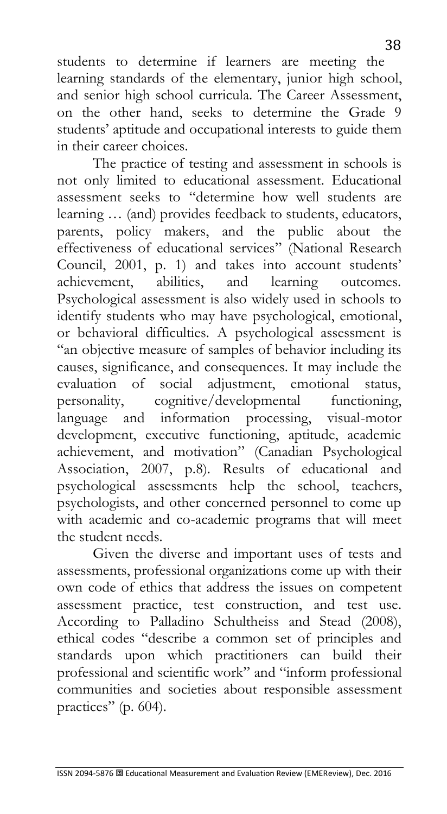students to determine if learners are meeting the learning standards of the elementary, junior high school, and senior high school curricula. The Career Assessment, on the other hand, seeks to determine the Grade 9 students' aptitude and occupational interests to guide them in their career choices.

The practice of testing and assessment in schools is not only limited to educational assessment. Educational assessment seeks to "determine how well students are learning … (and) provides feedback to students, educators, parents, policy makers, and the public about the effectiveness of educational services" (National Research Council, 2001, p. 1) and takes into account students' achievement, abilities, and learning outcomes. Psychological assessment is also widely used in schools to identify students who may have psychological, emotional, or behavioral difficulties. A psychological assessment is "an objective measure of samples of behavior including its causes, significance, and consequences. It may include the evaluation of social adjustment, emotional status, personality, cognitive/developmental functioning, language and information processing, visual-motor development, executive functioning, aptitude, academic achievement, and motivation" (Canadian Psychological Association, 2007, p.8). Results of educational and psychological assessments help the school, teachers, psychologists, and other concerned personnel to come up with academic and co-academic programs that will meet the student needs.

Given the diverse and important uses of tests and assessments, professional organizations come up with their own code of ethics that address the issues on competent assessment practice, test construction, and test use. According to Palladino Schultheiss and Stead (2008), ethical codes "describe a common set of principles and standards upon which practitioners can build their professional and scientific work" and "inform professional communities and societies about responsible assessment practices" (p. 604).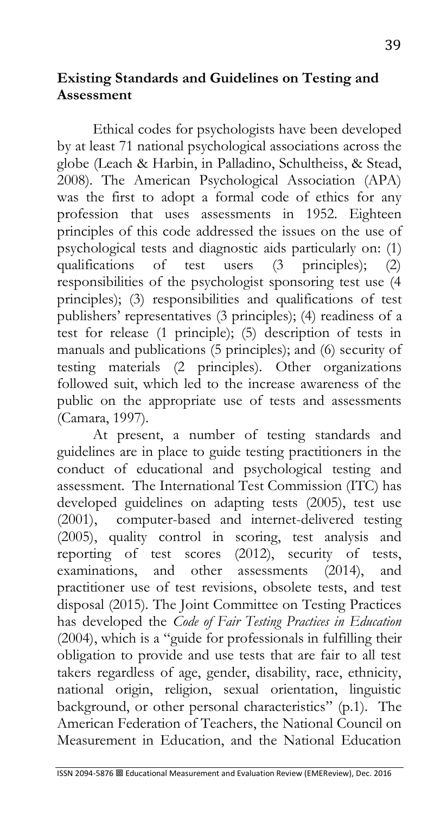#### **Existing Standards and Guidelines on Testing and Assessment**

Ethical codes for psychologists have been developed by at least 71 national psychological associations across the globe (Leach & Harbin, in Palladino, Schultheiss, & Stead, 2008). The American Psychological Association (APA) was the first to adopt a formal code of ethics for any profession that uses assessments in 1952. Eighteen principles of this code addressed the issues on the use of psychological tests and diagnostic aids particularly on: (1) qualifications of test users (3 principles); (2) responsibilities of the psychologist sponsoring test use (4 principles); (3) responsibilities and qualifications of test publishers' representatives (3 principles); (4) readiness of a test for release (1 principle); (5) description of tests in manuals and publications (5 principles); and (6) security of testing materials (2 principles). Other organizations followed suit, which led to the increase awareness of the public on the appropriate use of tests and assessments (Camara, 1997).

At present, a number of testing standards and guidelines are in place to guide testing practitioners in the conduct of educational and psychological testing and assessment. The International Test Commission (ITC) has developed guidelines on adapting tests (2005), test use (2001), computer-based and internet-delivered testing (2005), quality control in scoring, test analysis and reporting of test scores (2012), security of tests, examinations, and other assessments (2014), and practitioner use of test revisions, obsolete tests, and test disposal (2015). The Joint Committee on Testing Practices has developed the *Code of Fair Testing Practices in Education* (2004), which is a "guide for professionals in fulfilling their obligation to provide and use tests that are fair to all test takers regardless of age, gender, disability, race, ethnicity, national origin, religion, sexual orientation, linguistic background, or other personal characteristics" (p.1). The American Federation of Teachers, the National Council on Measurement in Education, and the National Education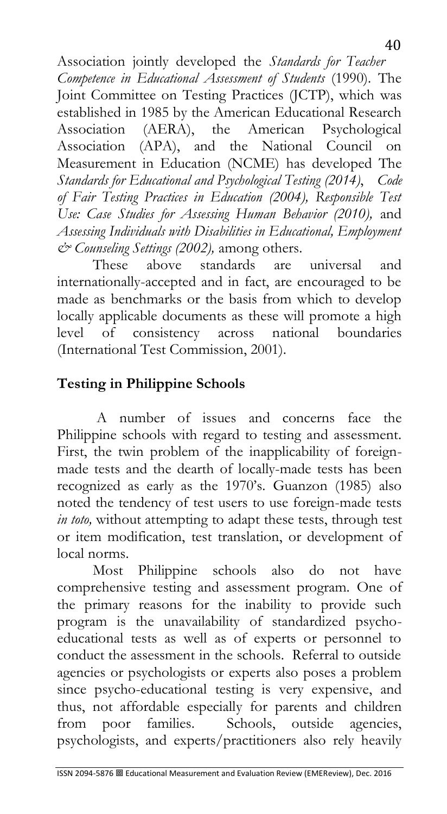Association jointly developed the *Standards for Teacher Competence in Educational Assessment of Students* (1990). The Joint Committee on Testing Practices (JCTP), which was established in 1985 by the American Educational Research Association (AERA), the American Psychological Association (APA), and the National Council on Measurement in Education (NCME) has developed The *Standards for Educational and Psychological Testing (2014)*, *Code of Fair Testing Practices in Education (2004), Responsible Test Use: Case Studies for Assessing Human Behavior (2010),* and *Assessing Individuals with Disabilities in Educational, Employment & Counseling Settings (2002),* among others.

These above standards are universal and internationally-accepted and in fact, are encouraged to be made as benchmarks or the basis from which to develop locally applicable documents as these will promote a high level of consistency across national boundaries (International Test Commission, 2001).

## **Testing in Philippine Schools**

A number of issues and concerns face the Philippine schools with regard to testing and assessment. First, the twin problem of the inapplicability of foreignmade tests and the dearth of locally-made tests has been recognized as early as the 1970's. Guanzon (1985) also noted the tendency of test users to use foreign-made tests *in toto,* without attempting to adapt these tests, through test or item modification, test translation, or development of local norms.

Most Philippine schools also do not have comprehensive testing and assessment program. One of the primary reasons for the inability to provide such program is the unavailability of standardized psychoeducational tests as well as of experts or personnel to conduct the assessment in the schools. Referral to outside agencies or psychologists or experts also poses a problem since psycho-educational testing is very expensive, and thus, not affordable especially for parents and children<br>from poor families. Schools, outside agencies, from poor families. Schools, outside agencies, psychologists, and experts/practitioners also rely heavily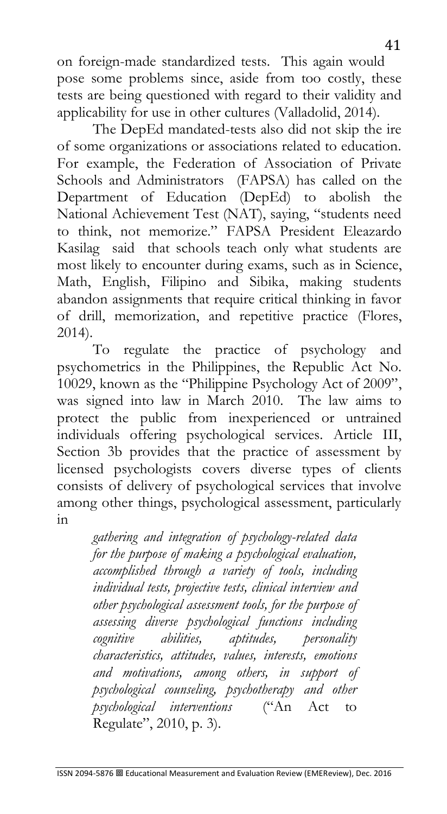on foreign-made standardized tests. This again would pose some problems since, aside from too costly, these tests are being questioned with regard to their validity and applicability for use in other cultures (Valladolid, 2014).

The DepEd mandated-tests also did not skip the ire of some organizations or associations related to education. For example, the Federation of Association of Private Schools and Administrators (FAPSA) has called on the Department of Education (DepEd) to abolish the National Achievement Test (NAT), saying, "students need to think, not memorize." FAPSA President Eleazardo Kasilag said that schools teach only what students are most likely to encounter during exams, such as in Science, Math, English, Filipino and Sibika, making students abandon assignments that require critical thinking in favor of drill, memorization, and repetitive practice (Flores, 2014).

To regulate the practice of psychology and psychometrics in the Philippines, the Republic Act No. 10029, known as the "Philippine Psychology Act of 2009", was signed into law in March 2010. The law aims to protect the public from inexperienced or untrained individuals offering psychological services. Article III, Section 3b provides that the practice of assessment by licensed psychologists covers diverse types of clients consists of delivery of psychological services that involve among other things, psychological assessment, particularly in

*gathering and integration of psychology-related data for the purpose of making a psychological evaluation, accomplished through a variety of tools, including individual tests, projective tests, clinical interview and other psychological assessment tools, for the purpose of assessing diverse psychological functions including cognitive abilities, aptitudes, personality characteristics, attitudes, values, interests, emotions and motivations, among others, in support of psychological counseling, psychotherapy and other psychological interventions* ("An Act to Regulate", 2010, p. 3).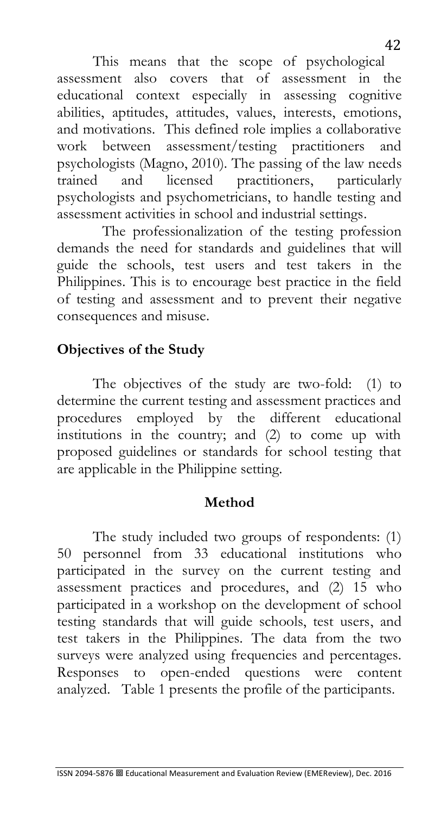This means that the scope of psychological assessment also covers that of assessment in the educational context especially in assessing cognitive abilities, aptitudes, attitudes, values, interests, emotions, and motivations. This defined role implies a collaborative work between assessment/testing practitioners and psychologists (Magno, 2010). The passing of the law needs trained and licensed practitioners, particularly psychologists and psychometricians, to handle testing and assessment activities in school and industrial settings.

The professionalization of the testing profession demands the need for standards and guidelines that will guide the schools, test users and test takers in the Philippines. This is to encourage best practice in the field of testing and assessment and to prevent their negative consequences and misuse.

### **Objectives of the Study**

The objectives of the study are two-fold: (1) to determine the current testing and assessment practices and procedures employed by the different educational institutions in the country; and (2) to come up with proposed guidelines or standards for school testing that are applicable in the Philippine setting.

#### **Method**

The study included two groups of respondents: (1) 50 personnel from 33 educational institutions who participated in the survey on the current testing and assessment practices and procedures, and (2) 15 who participated in a workshop on the development of school testing standards that will guide schools, test users, and test takers in the Philippines. The data from the two surveys were analyzed using frequencies and percentages. Responses to open-ended questions were content analyzed. Table 1 presents the profile of the participants.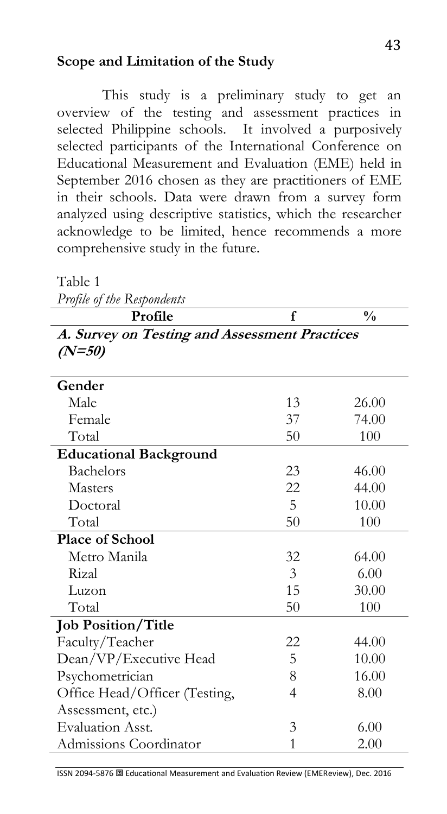#### **Scope and Limitation of the Study**

This study is a preliminary study to get an overview of the testing and assessment practices in selected Philippine schools. It involved a purposively selected participants of the International Conference on Educational Measurement and Evaluation (EME) held in September 2016 chosen as they are practitioners of EME in their schools. Data were drawn from a survey form analyzed using descriptive statistics, which the researcher acknowledge to be limited, hence recommends a more comprehensive study in the future.

Table 1

*Profile of the Respondents* 

| <b>Profile</b>                                            |  |
|-----------------------------------------------------------|--|
| A. Survey on Testing and Assessment Practices<br>$(N=50)$ |  |

| Gender                        |    |       |
|-------------------------------|----|-------|
| Male                          | 13 | 26.00 |
| Female                        | 37 | 74.00 |
| Total                         | 50 | 100   |
| <b>Educational Background</b> |    |       |
| Bachelors                     | 23 | 46.00 |
| <b>Masters</b>                | 22 | 44.00 |
| Doctoral                      | 5  | 10.00 |
| Total                         | 50 | 100   |
| <b>Place of School</b>        |    |       |
| Metro Manila                  | 32 | 64.00 |
| Rizal                         | 3  | 6.00  |
| Luzon                         | 15 | 30.00 |
| Total                         | 50 | 100   |
| <b>Job Position/Title</b>     |    |       |
| Faculty/Teacher               | 22 | 44.00 |
| Dean/VP/Executive Head        | 5  | 10.00 |
| Psychometrician               | 8  | 16.00 |
| Office Head/Officer (Testing, | 4  | 8.00  |
| Assessment, etc.)             |    |       |
| <b>Evaluation Asst.</b>       | 3  | 6.00  |
| Admissions Coordinator        | 1  | 2.00  |

ISSN 2094-5876 Educational Measurement and Evaluation Review (EMEReview), Dec. 2016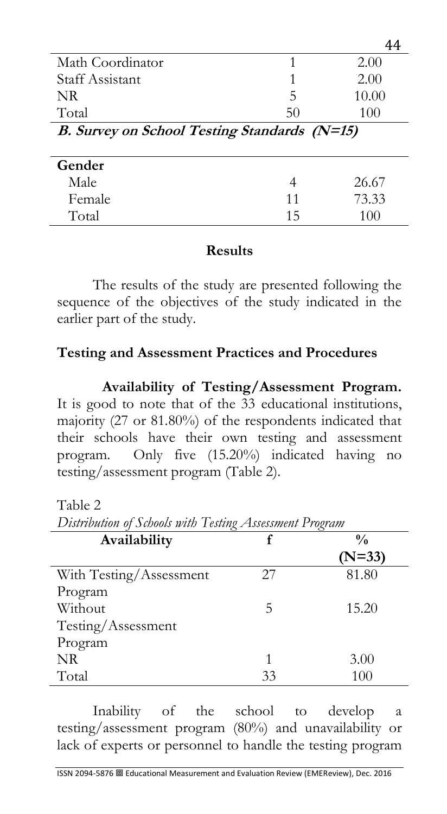| Math Coordinator                             | 1  | 2.00  |
|----------------------------------------------|----|-------|
| <b>Staff Assistant</b>                       |    | 2.00  |
| NR.                                          | 5  | 10.00 |
| Total                                        | 50 | 100   |
| B. Survey on School Testing Standards (N=15) |    |       |
|                                              |    |       |
| Gender                                       |    |       |
|                                              | 4  |       |
| Male                                         |    | 26.67 |
| Female                                       | 11 | 73.33 |

#### **Results**

The results of the study are presented following the sequence of the objectives of the study indicated in the earlier part of the study.

#### **Testing and Assessment Practices and Procedures**

**Availability of Testing/Assessment Program.**  It is good to note that of the 33 educational institutions, majority (27 or 81.80%) of the respondents indicated that their schools have their own testing and assessment program. Only five (15.20%) indicated having no testing/assessment program (Table 2).

Table 2

*Distribution of Schools with Testing Assessment Program*

| Availability            | f  | $\frac{0}{0}$ |
|-------------------------|----|---------------|
|                         |    | $(N=33)$      |
| With Testing/Assessment | 27 | 81.80         |
| Program                 |    |               |
| Without                 | 5  | 15.20         |
| Testing/Assessment      |    |               |
| Program                 |    |               |
| NR.                     | 1  | 3.00          |
| Total                   | 33 | 100           |

Inability of the school to develop a testing/assessment program (80%) and unavailability or lack of experts or personnel to handle the testing program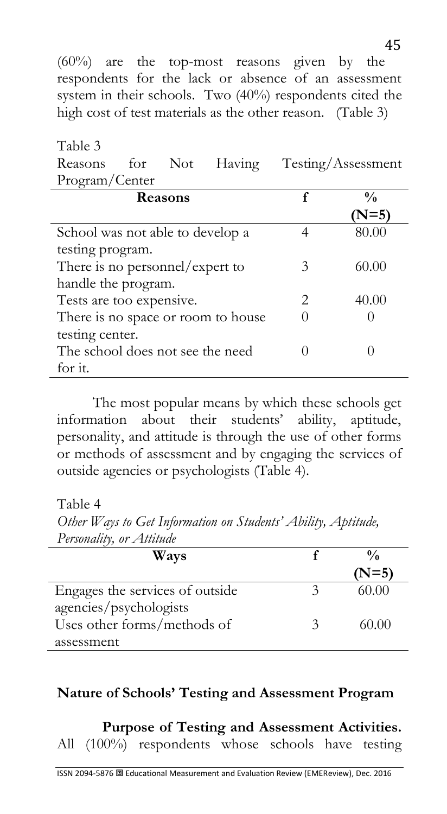(60%) are the top-most reasons given by the respondents for the lack or absence of an assessment system in their schools. Two (40%) respondents cited the high cost of test materials as the other reason. (Table 3)

Table 3 Reasons for Not Having Testing/Assessment Program/Center

| Reasons                            |                             | $\frac{0}{0}$  |
|------------------------------------|-----------------------------|----------------|
|                                    |                             | $N=5$          |
| School was not able to develop a   |                             | 80.00          |
| testing program.                   |                             |                |
| There is no personnel/expert to    | 3                           | 60.00          |
| handle the program.                |                             |                |
| Tests are too expensive.           | $\mathcal{D}_{\mathcal{L}}$ | $4()$ . $()()$ |
| There is no space or room to house |                             |                |
| testing center.                    |                             |                |
| The school does not see the need   |                             |                |
| for it.                            |                             |                |

The most popular means by which these schools get information about their students' ability, aptitude, personality, and attitude is through the use of other forms or methods of assessment and by engaging the services of outside agencies or psychologists (Table 4).

Table 4

*Other Ways to Get Information on Students' Ability, Aptitude, Personality, or Attitude*

| Ways                            |   | $\frac{0}{0}$ |
|---------------------------------|---|---------------|
|                                 |   | $(N=5)$       |
| Engages the services of outside |   | 60.00         |
| agencies/psychologists          |   |               |
| Uses other forms/methods of     | 2 | 60.00         |
| assessment                      |   |               |

#### **Nature of Schools' Testing and Assessment Program**

**Purpose of Testing and Assessment Activities.**  All (100%) respondents whose schools have testing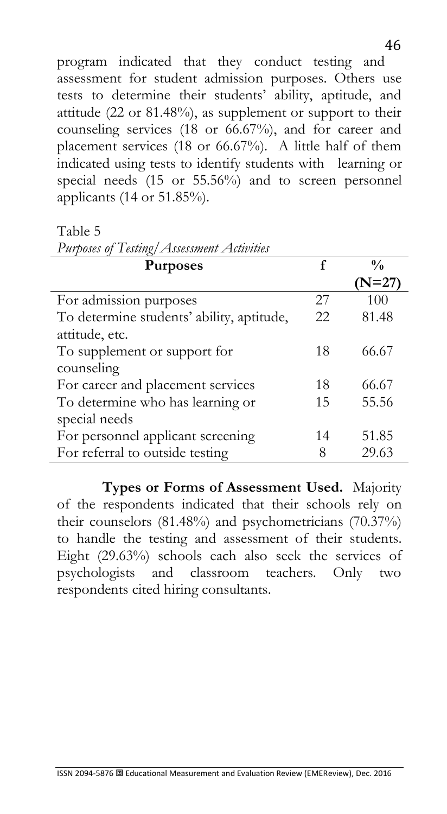program indicated that they conduct testing and assessment for student admission purposes. Others use tests to determine their students' ability, aptitude, and attitude (22 or 81.48%), as supplement or support to their counseling services (18 or 66.67%), and for career and placement services (18 or 66.67%). A little half of them indicated using tests to identify students with learning or special needs (15 or 55.56%) and to screen personnel applicants (14 or 51.85%).

Table 5

| Purposes of Testing/Assessment Activities |    |                  |
|-------------------------------------------|----|------------------|
| <b>Purposes</b>                           | f  | $\frac{0}{0}$    |
|                                           |    | $\mathrm{N=}27)$ |
| For admission purposes                    | 27 | 100              |
| To determine students' ability, aptitude, | 22 | 81.48            |
| attitude, etc.                            |    |                  |
| To supplement or support for              | 18 | 66.67            |
| counseling                                |    |                  |
| For career and placement services         | 18 | 66.67            |
| To determine who has learning or          | 15 | 55.56            |
| special needs                             |    |                  |
| For personnel applicant screening         | 14 | 51.85            |
| For referral to outside testing           | 8  | 29.63            |

**Types or Forms of Assessment Used.** Majority of the respondents indicated that their schools rely on their counselors (81.48%) and psychometricians (70.37%) to handle the testing and assessment of their students. Eight (29.63%) schools each also seek the services of psychologists and classroom teachers. Only two respondents cited hiring consultants.

46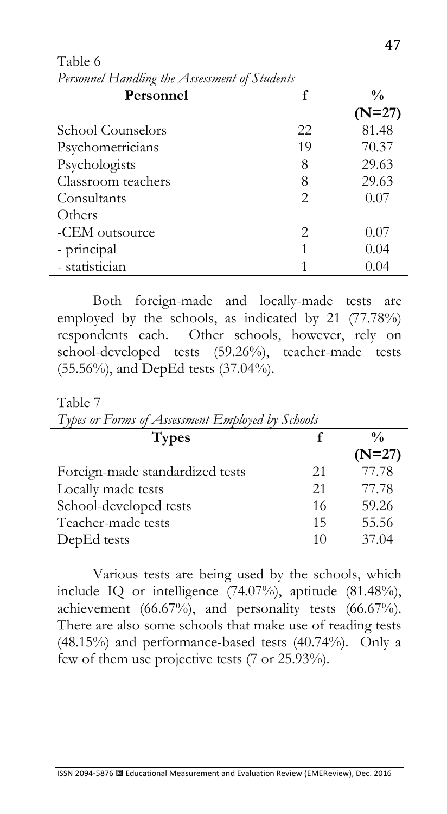| 1 crophnel 1 famming the 2 footbollent of Structure |                       |               |
|-----------------------------------------------------|-----------------------|---------------|
| Personnel                                           |                       | $\frac{0}{0}$ |
|                                                     |                       | (N=27)        |
| School Counselors                                   | 22                    | 81.48         |
| Psychometricians                                    | 19                    | 70.37         |
| Psychologists                                       | 8                     | 29.63         |
| Classroom teachers                                  | 8                     | 29.63         |
| Consultants                                         | $\mathcal{D}_{\cdot}$ | 0.07          |
| Others                                              |                       |               |
| -CEM outsource                                      | $\mathcal{D}_{\cdot}$ | 0.07          |
| - principal                                         |                       | 0.04          |
| - statistician                                      |                       | 0.04          |

Table 6 *Personnel Handling the Assessment of Students*

Both foreign-made and locally-made tests are employed by the schools, as indicated by 21 (77.78%) respondents each. Other schools, however, rely on school-developed tests (59.26%), teacher-made tests (55.56%), and DepEd tests (37.04%).

Table 7

| Types or Forms of Assessment Employed by Schools |    |               |
|--------------------------------------------------|----|---------------|
| <b>Types</b>                                     |    | $\frac{0}{0}$ |
|                                                  |    | $(N=27)$      |
| Foreign-made standardized tests                  | 21 | 77.78         |
| Locally made tests                               | 21 | 77.78         |
| School-developed tests                           | 16 | 59.26         |
| Teacher-made tests                               | 15 | 55.56         |
| DepEd tests                                      | 10 | 37.04         |

*Types or Forms of Assessment Employed by Schools* 

Various tests are being used by the schools, which include IQ or intelligence (74.07%), aptitude (81.48%), achievement  $(66.67\%)$ , and personality tests  $(66.67\%)$ . There are also some schools that make use of reading tests (48.15%) and performance-based tests (40.74%). Only a few of them use projective tests (7 or 25.93%).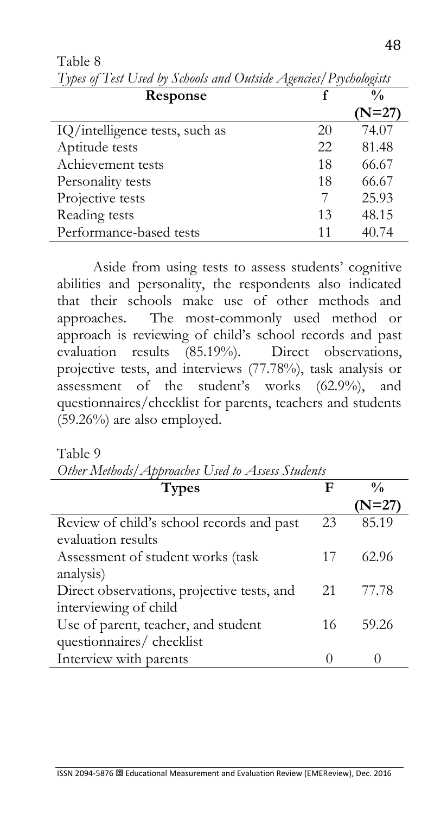| Response                       |    | $\frac{0}{0}$ |
|--------------------------------|----|---------------|
|                                |    | $(N=27)$      |
| IQ/intelligence tests, such as | 20 | 74.07         |
| Aptitude tests                 | 22 | 81.48         |
| Achievement tests              | 18 | 66.67         |
| Personality tests              | 18 | 66.67         |
| Projective tests               |    | 25.93         |
| Reading tests                  | 13 | 48.15         |
| Performance-based tests        | 11 | 40.74         |

Table 8 *Types of Test Used by Schools and Outside Agencies/Psychologists*

Aside from using tests to assess students' cognitive abilities and personality, the respondents also indicated that their schools make use of other methods and approaches. The most-commonly used method or approach is reviewing of child's school records and past evaluation results (85.19%). Direct observations, projective tests, and interviews (77.78%), task analysis or assessment of the student's works (62.9%), and questionnaires/checklist for parents, teachers and students (59.26%) are also employed.

Table 9

| Other Methods/Approaches Used to Assess Students |    |               |
|--------------------------------------------------|----|---------------|
| <b>Types</b>                                     | F  | $\frac{0}{0}$ |
|                                                  |    | $(N=27)$      |
| Review of child's school records and past        | 23 | 85.19         |
| evaluation results                               |    |               |
| Assessment of student works (task                | 17 | 62.96         |
| analysis)                                        |    |               |
| Direct observations, projective tests, and       | 21 | 77.78         |
| interviewing of child                            |    |               |
| Use of parent, teacher, and student              | 16 | 59.26         |
| questionnaires/ checklist                        |    |               |
| Interview with parents                           |    |               |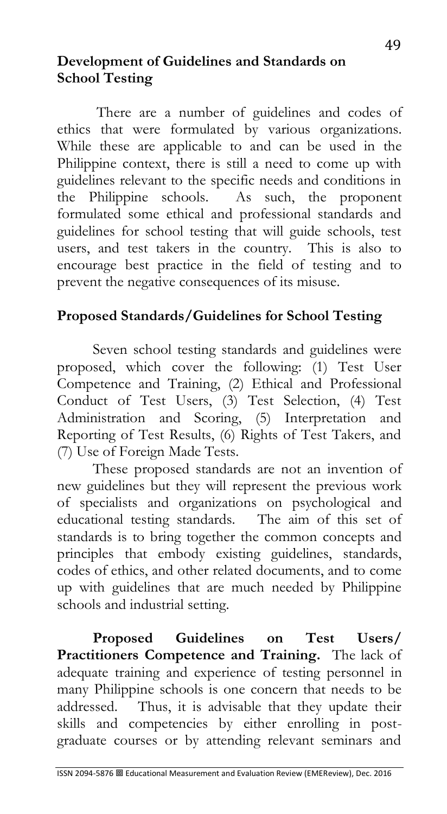### **Development of Guidelines and Standards on School Testing**

There are a number of guidelines and codes of ethics that were formulated by various organizations. While these are applicable to and can be used in the Philippine context, there is still a need to come up with guidelines relevant to the specific needs and conditions in the Philippine schools. As such, the proponent formulated some ethical and professional standards and guidelines for school testing that will guide schools, test users, and test takers in the country. This is also to encourage best practice in the field of testing and to prevent the negative consequences of its misuse.

## **Proposed Standards/Guidelines for School Testing**

Seven school testing standards and guidelines were proposed, which cover the following: (1) Test User Competence and Training, (2) Ethical and Professional Conduct of Test Users, (3) Test Selection, (4) Test Administration and Scoring, (5) Interpretation and Reporting of Test Results, (6) Rights of Test Takers, and (7) Use of Foreign Made Tests.

These proposed standards are not an invention of new guidelines but they will represent the previous work of specialists and organizations on psychological and educational testing standards. The aim of this set of standards is to bring together the common concepts and principles that embody existing guidelines, standards, codes of ethics, and other related documents, and to come up with guidelines that are much needed by Philippine schools and industrial setting.

**Proposed Guidelines on Test Users/ Practitioners Competence and Training.** The lack of adequate training and experience of testing personnel in many Philippine schools is one concern that needs to be addressed. Thus, it is advisable that they update their skills and competencies by either enrolling in postgraduate courses or by attending relevant seminars and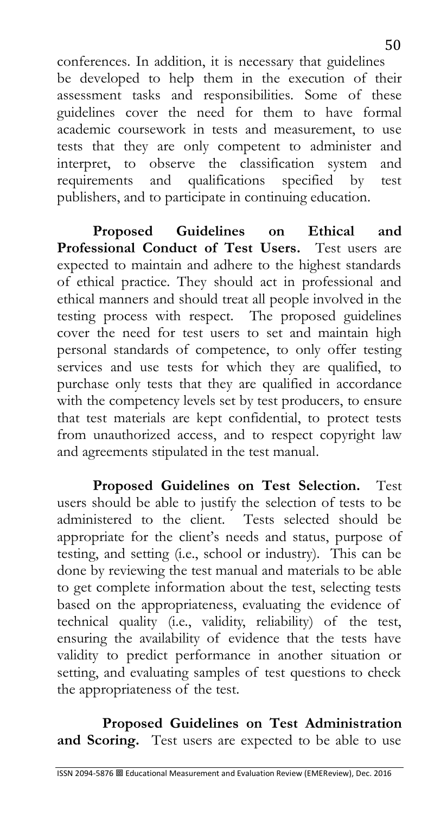conferences. In addition, it is necessary that guidelines be developed to help them in the execution of their assessment tasks and responsibilities. Some of these guidelines cover the need for them to have formal academic coursework in tests and measurement, to use tests that they are only competent to administer and interpret, to observe the classification system and requirements and qualifications specified by test publishers, and to participate in continuing education.

**Proposed Guidelines on Ethical and Professional Conduct of Test Users.** Test users are expected to maintain and adhere to the highest standards of ethical practice. They should act in professional and ethical manners and should treat all people involved in the testing process with respect. The proposed guidelines cover the need for test users to set and maintain high personal standards of competence, to only offer testing services and use tests for which they are qualified, to purchase only tests that they are qualified in accordance with the competency levels set by test producers, to ensure that test materials are kept confidential, to protect tests from unauthorized access, and to respect copyright law and agreements stipulated in the test manual.

**Proposed Guidelines on Test Selection.** Test users should be able to justify the selection of tests to be administered to the client. Tests selected should be appropriate for the client's needs and status, purpose of testing, and setting (i.e., school or industry). This can be done by reviewing the test manual and materials to be able to get complete information about the test, selecting tests based on the appropriateness, evaluating the evidence of technical quality (i.e., validity, reliability) of the test, ensuring the availability of evidence that the tests have validity to predict performance in another situation or setting, and evaluating samples of test questions to check the appropriateness of the test.

**Proposed Guidelines on Test Administration and Scoring.** Test users are expected to be able to use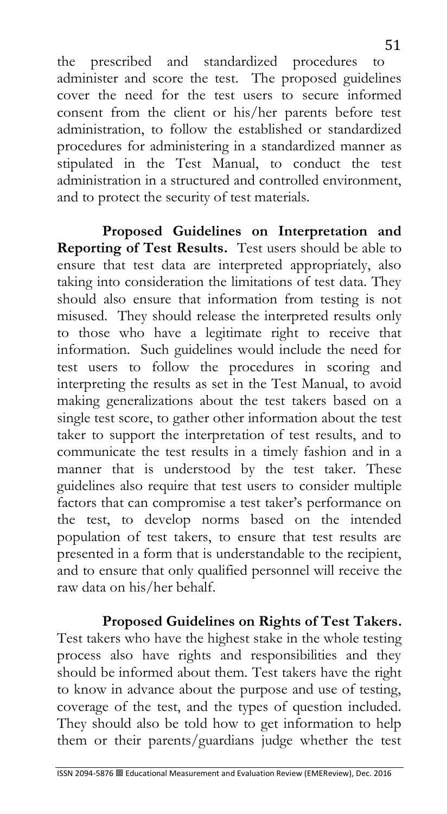the prescribed and standardized procedures to administer and score the test. The proposed guidelines cover the need for the test users to secure informed consent from the client or his/her parents before test administration, to follow the established or standardized procedures for administering in a standardized manner as stipulated in the Test Manual, to conduct the test administration in a structured and controlled environment, and to protect the security of test materials.

**Proposed Guidelines on Interpretation and Reporting of Test Results.** Test users should be able to ensure that test data are interpreted appropriately, also taking into consideration the limitations of test data. They should also ensure that information from testing is not misused. They should release the interpreted results only to those who have a legitimate right to receive that information. Such guidelines would include the need for test users to follow the procedures in scoring and interpreting the results as set in the Test Manual, to avoid making generalizations about the test takers based on a single test score, to gather other information about the test taker to support the interpretation of test results, and to communicate the test results in a timely fashion and in a manner that is understood by the test taker. These guidelines also require that test users to consider multiple factors that can compromise a test taker's performance on the test, to develop norms based on the intended population of test takers, to ensure that test results are presented in a form that is understandable to the recipient, and to ensure that only qualified personnel will receive the raw data on his/her behalf.

**Proposed Guidelines on Rights of Test Takers.** 

Test takers who have the highest stake in the whole testing process also have rights and responsibilities and they should be informed about them. Test takers have the right to know in advance about the purpose and use of testing, coverage of the test, and the types of question included. They should also be told how to get information to help them or their parents/guardians judge whether the test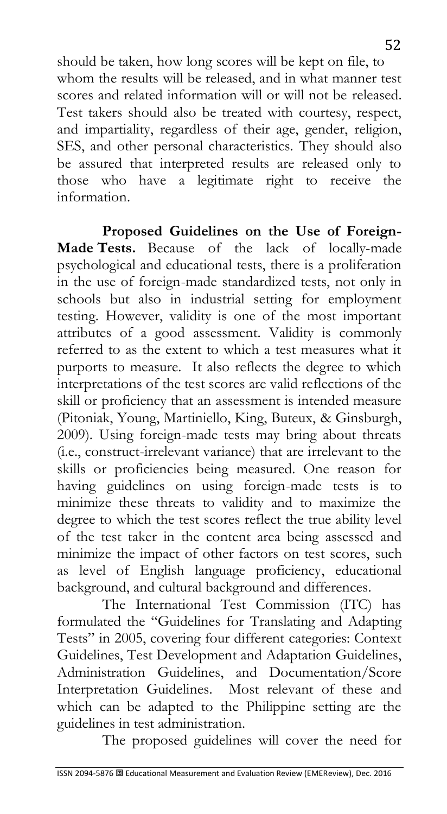should be taken, how long scores will be kept on file, to whom the results will be released, and in what manner test scores and related information will or will not be released. Test takers should also be treated with courtesy, respect, and impartiality, regardless of their age, gender, religion, SES, and other personal characteristics. They should also be assured that interpreted results are released only to those who have a legitimate right to receive the information.

**Proposed Guidelines on the Use of Foreign-Made Tests.** Because of the lack of locally-made psychological and educational tests, there is a proliferation in the use of foreign-made standardized tests, not only in schools but also in industrial setting for employment testing. However, validity is one of the most important attributes of a good assessment. Validity is commonly referred to as the extent to which a test measures what it purports to measure. It also reflects the degree to which interpretations of the test scores are valid reflections of the skill or proficiency that an assessment is intended measure (Pitoniak, Young, Martiniello, King, Buteux, & Ginsburgh, 2009). Using foreign-made tests may bring about threats (i.e., construct-irrelevant variance) that are irrelevant to the skills or proficiencies being measured. One reason for having guidelines on using foreign-made tests is to minimize these threats to validity and to maximize the degree to which the test scores reflect the true ability level of the test taker in the content area being assessed and minimize the impact of other factors on test scores, such as level of English language proficiency, educational background, and cultural background and differences.

The International Test Commission (ITC) has formulated the "Guidelines for Translating and Adapting Tests" in 2005, covering four different categories: Context Guidelines, Test Development and Adaptation Guidelines, Administration Guidelines, and Documentation/Score Interpretation Guidelines. Most relevant of these and which can be adapted to the Philippine setting are the guidelines in test administration.

The proposed guidelines will cover the need for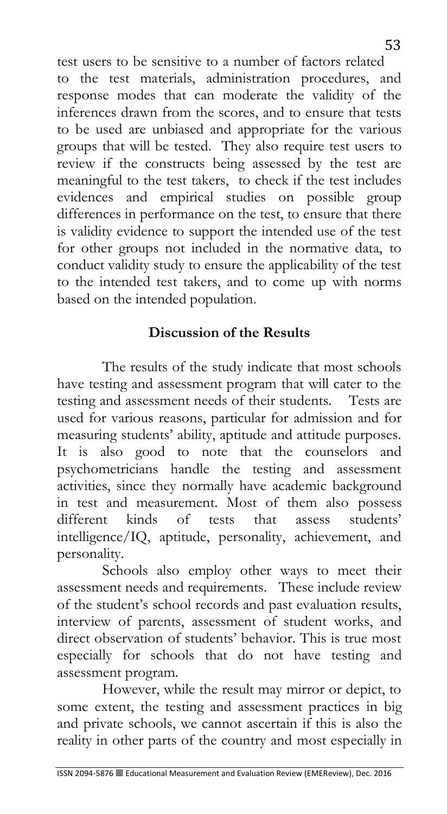test users to be sensitive to a number of factors related to the test materials, administration procedures, and response modes that can moderate the validity of the inferences drawn from the scores, and to ensure that tests to be used are unbiased and appropriate for the various groups that will be tested. They also require test users to review if the constructs being assessed by the test are meaningful to the test takers, to check if the test includes evidences and empirical studies on possible group differences in performance on the test, to ensure that there is validity evidence to support the intended use of the test for other groups not included in the normative data, to conduct validity study to ensure the applicability of the test to the intended test takers, and to come up with norms based on the intended population.

## **Discussion of the Results**

The results of the study indicate that most schools have testing and assessment program that will cater to the testing and assessment needs of their students. Tests are used for various reasons, particular for admission and for measuring students' ability, aptitude and attitude purposes. It is also good to note that the counselors and psychometricians handle the testing and assessment activities, since they normally have academic background in test and measurement. Most of them also possess different kinds of tests that assess students' intelligence/IQ, aptitude, personality, achievement, and personality.

Schools also employ other ways to meet their assessment needs and requirements. These include review of the student's school records and past evaluation results, interview of parents, assessment of student works, and direct observation of students' behavior. This is true most especially for schools that do not have testing and assessment program.

However, while the result may mirror or depict, to some extent, the testing and assessment practices in big and private schools, we cannot ascertain if this is also the reality in other parts of the country and most especially in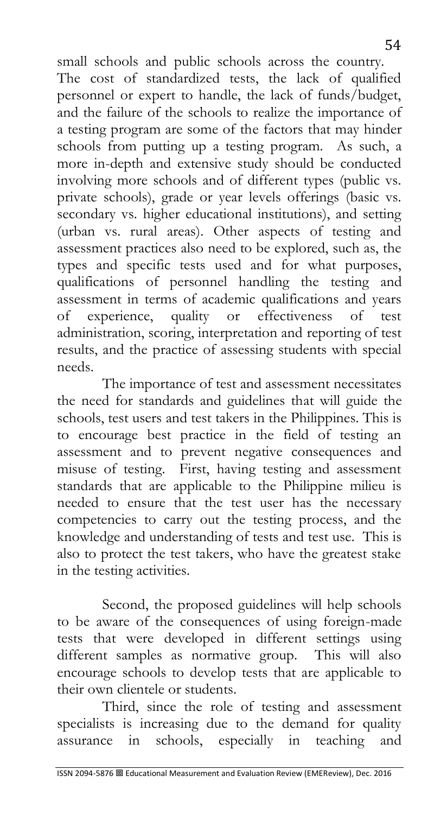small schools and public schools across the country. The cost of standardized tests, the lack of qualified personnel or expert to handle, the lack of funds/budget, and the failure of the schools to realize the importance of a testing program are some of the factors that may hinder schools from putting up a testing program. As such, a more in-depth and extensive study should be conducted involving more schools and of different types (public vs. private schools), grade or year levels offerings (basic vs. secondary vs. higher educational institutions), and setting (urban vs. rural areas). Other aspects of testing and assessment practices also need to be explored, such as, the types and specific tests used and for what purposes, qualifications of personnel handling the testing and assessment in terms of academic qualifications and years of experience, quality or effectiveness of test administration, scoring, interpretation and reporting of test results, and the practice of assessing students with special needs.

The importance of test and assessment necessitates the need for standards and guidelines that will guide the schools, test users and test takers in the Philippines. This is to encourage best practice in the field of testing an assessment and to prevent negative consequences and misuse of testing. First, having testing and assessment standards that are applicable to the Philippine milieu is needed to ensure that the test user has the necessary competencies to carry out the testing process, and the knowledge and understanding of tests and test use. This is also to protect the test takers, who have the greatest stake in the testing activities.

Second, the proposed guidelines will help schools to be aware of the consequences of using foreign-made tests that were developed in different settings using different samples as normative group. This will also encourage schools to develop tests that are applicable to their own clientele or students.

Third, since the role of testing and assessment specialists is increasing due to the demand for quality assurance in schools, especially in teaching and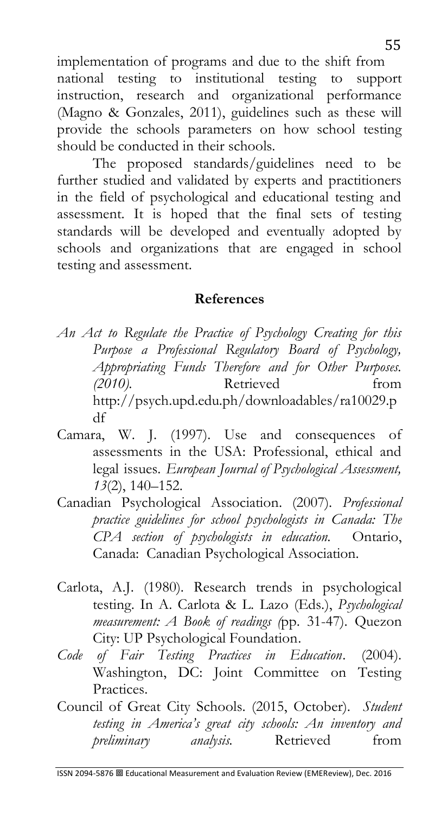implementation of programs and due to the shift from national testing to institutional testing to support instruction, research and organizational performance (Magno & Gonzales, 2011), guidelines such as these will provide the schools parameters on how school testing should be conducted in their schools.

The proposed standards/guidelines need to be further studied and validated by experts and practitioners in the field of psychological and educational testing and assessment. It is hoped that the final sets of testing standards will be developed and eventually adopted by schools and organizations that are engaged in school testing and assessment.

#### **References**

- *An Act to Regulate the Practice of Psychology Creating for this Purpose a Professional Regulatory Board of Psychology, Appropriating Funds Therefore and for Other Purposes. (2010).* Retrieved from [http://psych.upd.edu.ph/downloadables/ra10029.p](http://psych.upd.edu.ph/downloadables/ra10029.pdf) [df](http://psych.upd.edu.ph/downloadables/ra10029.pdf)
- Camara, W. J. (1997). Use and consequences of assessments in the USA: Professional, ethical and legal issues. *European Journal of Psychological Assessment, 13*(2), 140–152.
- Canadian Psychological Association. (2007). *Professional practice guidelines for school psychologists in Canada: The CPA section of psychologists in education.* Ontario, Canada: Canadian Psychological Association.
- Carlota, A.J. (1980). Research trends in psychological testing. In A. Carlota & L. Lazo (Eds.), *Psychological measurement: A Book of readings (*pp. 31-47). Quezon City: UP Psychological Foundation.
- *Code of Fair Testing Practices in Education*. (2004). Washington, DC: Joint Committee on Testing Practices.
- Council of Great City Schools. (2015, October). *Student testing in America's great city schools: An inventory and preliminary analysis.* Retrieved from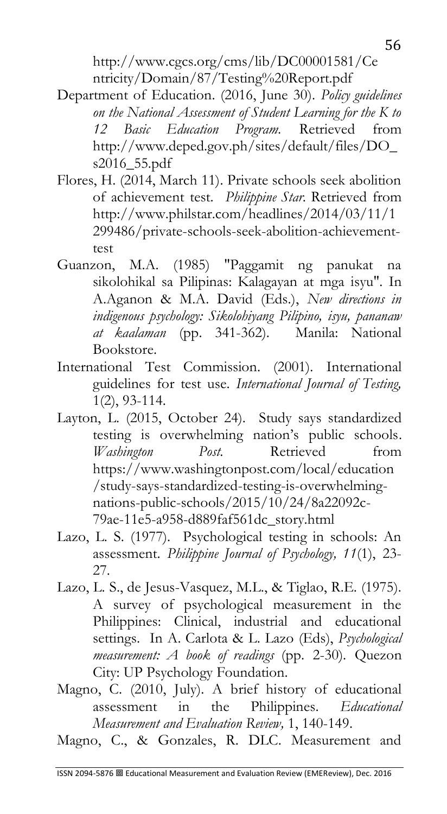[http://www.cgcs.org/cms/lib/DC00001581/Ce](http://www.cgcs.org/cms/lib/DC00001581/Centricity/Domain/87/Testing%20Report.pdf) [ntricity/Domain/87/Testing%20Report.pdf](http://www.cgcs.org/cms/lib/DC00001581/Centricity/Domain/87/Testing%20Report.pdf)

- Department of Education. (2016, June 30). *Policy guidelines on the National Assessment of Student Learning for the K to 12 Basic Education Program.* Retrieved from [http://www.deped.gov.ph/sites/default/files/DO\\_](http://www.deped.gov.ph/sites/default/files/DO_s2016_55.pdf) [s2016\\_55.pdf](http://www.deped.gov.ph/sites/default/files/DO_s2016_55.pdf)
- Flores, H. (2014, March 11). Private schools seek abolition of achievement test. *Philippine Star.* Retrieved from [http://www.philstar.com/headlines/2014/03/11/1](http://www.philstar.com/headlines/2014/03/11/1299486/private-schools-seek-abolition-achievement-test) [299486/private-schools-seek-abolition-achievement](http://www.philstar.com/headlines/2014/03/11/1299486/private-schools-seek-abolition-achievement-test)[test](http://www.philstar.com/headlines/2014/03/11/1299486/private-schools-seek-abolition-achievement-test)
- Guanzon, M.A. (1985) "Paggamit ng panukat na sikolohikal sa Pilipinas: Kalagayan at mga isyu". In A.Aganon & M.A. David (Eds.), *New directions in indigenous psychology: Sikolohiyang Pilipino, isyu, pananaw at kaalaman* (pp. 341-362). Manila: National Bookstore.
- International Test Commission. (2001). International guidelines for test use. *International Journal of Testing,*  1(2), 93-114.
- Layton, L. (2015, October 24). Study says standardized testing is overwhelming nation's public schools. *Washington Post.* Retrieved from [https://www.washingtonpost.com/local/education](https://www.washingtonpost.com/local/education/study-says-standardized-testing-is-overwhelming-nations-public-schools/2015/10/24/8a22092c-79ae-11e5-a958-d889faf561dc_story.html) [/study-says-standardized-testing-is-overwhelming](https://www.washingtonpost.com/local/education/study-says-standardized-testing-is-overwhelming-nations-public-schools/2015/10/24/8a22092c-79ae-11e5-a958-d889faf561dc_story.html)[nations-public-schools/2015/10/24/8a22092c-](https://www.washingtonpost.com/local/education/study-says-standardized-testing-is-overwhelming-nations-public-schools/2015/10/24/8a22092c-79ae-11e5-a958-d889faf561dc_story.html)[79ae-11e5-a958-d889faf561dc\\_story.html](https://www.washingtonpost.com/local/education/study-says-standardized-testing-is-overwhelming-nations-public-schools/2015/10/24/8a22092c-79ae-11e5-a958-d889faf561dc_story.html)
- Lazo, L. S. (1977). Psychological testing in schools: An assessment. *Philippine Journal of Psychology, 11*(1), 23- 27.
- Lazo, L. S., de Jesus-Vasquez, M.L., & Tiglao, R.E. (1975). A survey of psychological measurement in the Philippines: Clinical, industrial and educational settings. In A. Carlota & L. Lazo (Eds), *Psychological measurement: A book of readings* (pp. 2-30). Quezon City: UP Psychology Foundation.
- Magno, C. (2010, July). A brief history of educational assessment in the Philippines. *Educational Measurement and Evaluation Review,* 1, 140-149.
- Magno, C., & Gonzales, R. DLC. Measurement and